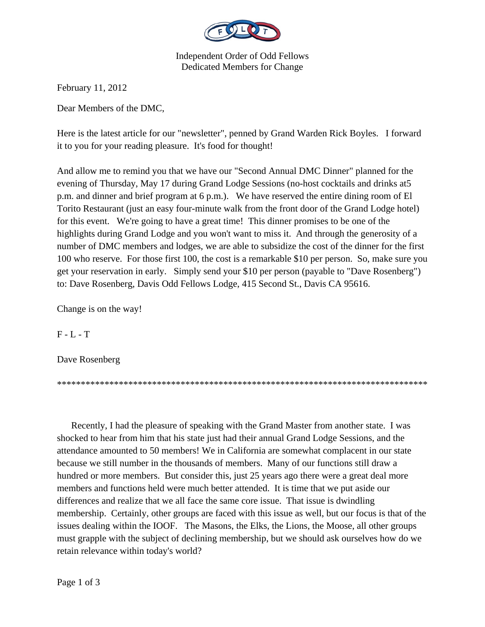

Independent Order of Odd Fellows Dedicated Members for Change

February 11, 2012

Dear Members of the DMC,

Here is the latest article for our "newsletter", penned by Grand Warden Rick Boyles. I forward it to you for your reading pleasure. It's food for thought!

And allow me to remind you that we have our "Second Annual DMC Dinner" planned for the evening of Thursday, May 17 during Grand Lodge Sessions (no-host cocktails and drinks at5 p.m. and dinner and brief program at 6 p.m.). We have reserved the entire dining room of El Torito Restaurant (just an easy four-minute walk from the front door of the Grand Lodge hotel) for this event. We're going to have a great time! This dinner promises to be one of the highlights during Grand Lodge and you won't want to miss it. And through the generosity of a number of DMC members and lodges, we are able to subsidize the cost of the dinner for the first 100 who reserve. For those first 100, the cost is a remarkable \$10 per person. So, make sure you get your reservation in early. Simply send your \$10 per person (payable to "Dave Rosenberg") to: Dave Rosenberg, Davis Odd Fellows Lodge, 415 Second St., Davis CA 95616.

Change is on the way!

 $F - L - T$ 

Dave Rosenberg

\*\*\*\*\*\*\*\*\*\*\*\*\*\*\*\*\*\*\*\*\*\*\*\*\*\*\*\*\*\*\*\*\*\*\*\*\*\*\*\*\*\*\*\*\*\*\*\*\*\*\*\*\*\*\*\*\*\*\*\*\*\*\*\*\*\*\*\*\*\*\*\*\*\*\*\*\*\*

 Recently, I had the pleasure of speaking with the Grand Master from another state. I was shocked to hear from him that his state just had their annual Grand Lodge Sessions, and the attendance amounted to 50 members! We in California are somewhat complacent in our state because we still number in the thousands of members. Many of our functions still draw a hundred or more members. But consider this, just 25 years ago there were a great deal more members and functions held were much better attended. It is time that we put aside our differences and realize that we all face the same core issue. That issue is dwindling membership. Certainly, other groups are faced with this issue as well, but our focus is that of the issues dealing within the IOOF. The Masons, the Elks, the Lions, the Moose, all other groups must grapple with the subject of declining membership, but we should ask ourselves how do we retain relevance within today's world?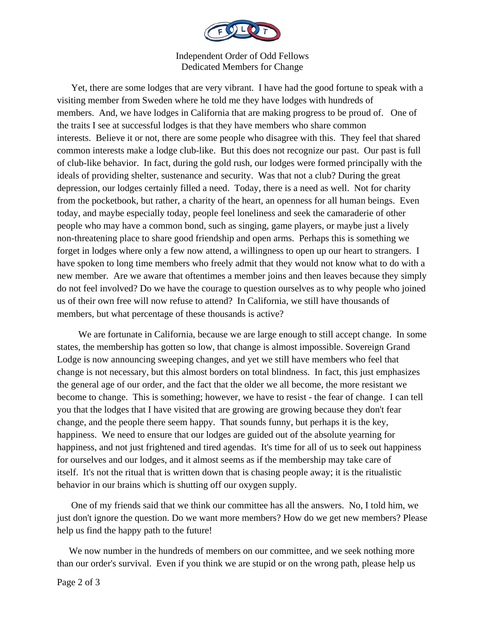

Independent Order of Odd Fellows Dedicated Members for Change

 Yet, there are some lodges that are very vibrant. I have had the good fortune to speak with a visiting member from Sweden where he told me they have lodges with hundreds of members. And, we have lodges in California that are making progress to be proud of. One of the traits I see at successful lodges is that they have members who share common interests. Believe it or not, there are some people who disagree with this. They feel that shared common interests make a lodge club-like. But this does not recognize our past. Our past is full of club-like behavior. In fact, during the gold rush, our lodges were formed principally with the ideals of providing shelter, sustenance and security. Was that not a club? During the great depression, our lodges certainly filled a need. Today, there is a need as well. Not for charity from the pocketbook, but rather, a charity of the heart, an openness for all human beings. Even today, and maybe especially today, people feel loneliness and seek the camaraderie of other people who may have a common bond, such as singing, game players, or maybe just a lively non-threatening place to share good friendship and open arms. Perhaps this is something we forget in lodges where only a few now attend, a willingness to open up our heart to strangers. I have spoken to long time members who freely admit that they would not know what to do with a new member. Are we aware that oftentimes a member joins and then leaves because they simply do not feel involved? Do we have the courage to question ourselves as to why people who joined us of their own free will now refuse to attend? In California, we still have thousands of members, but what percentage of these thousands is active?

 We are fortunate in California, because we are large enough to still accept change. In some states, the membership has gotten so low, that change is almost impossible. Sovereign Grand Lodge is now announcing sweeping changes, and yet we still have members who feel that change is not necessary, but this almost borders on total blindness. In fact, this just emphasizes the general age of our order, and the fact that the older we all become, the more resistant we become to change. This is something; however, we have to resist - the fear of change. I can tell you that the lodges that I have visited that are growing are growing because they don't fear change, and the people there seem happy. That sounds funny, but perhaps it is the key, happiness. We need to ensure that our lodges are guided out of the absolute yearning for happiness, and not just frightened and tired agendas. It's time for all of us to seek out happiness for ourselves and our lodges, and it almost seems as if the membership may take care of itself. It's not the ritual that is written down that is chasing people away; it is the ritualistic behavior in our brains which is shutting off our oxygen supply.

 One of my friends said that we think our committee has all the answers. No, I told him, we just don't ignore the question. Do we want more members? How do we get new members? Please help us find the happy path to the future!

We now number in the hundreds of members on our committee, and we seek nothing more than our order's survival. Even if you think we are stupid or on the wrong path, please help us